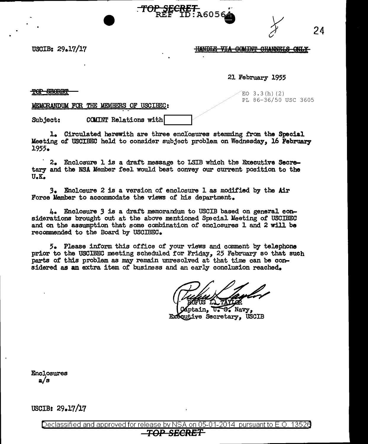**HANDLE VIA COMINT CHANNELS ONLY** 

## USCIB: 29.17/17

## 21 February 1955

## $\overline{\text{POP}}$  second  $\overline{\text{S}}$  and  $\overline{\text{S}}$  and  $\overline{\text{S}}$  and  $\overline{\text{S}}$  and  $\overline{\text{S}}$  and  $\overline{\text{S}}$  and  $\overline{\text{S}}$  and  $\overline{\text{S}}$  and  $\overline{\text{S}}$  and  $\overline{\text{S}}$  and  $\overline{\text{S}}$  and  $\overline{\text{S}}$  and  $\overline{\text{S}}$  and  $\overline{\text{$

PL 86-36/50 USC 3605

24

MEMORANDUM FOR THE MEMBERS OF USCIBEC:

Subject: COMINT Relations with

1. Circulated herewith are three enclosures stemming from the Special Keeting 0£ USCIBEC held to consider subject problem on Wednesday, 16 February 1955.

S<del>ECRET</del><br>EF ID:A6056

· 2. Enclosure l is a draft message to LSIB which the Emcutive Secretary and the NSA Member feel would best convey our current position to the U.K.

3. Enclosure 2 is a version *ot* enclosure l as modified by the .Air Force Member to accommodate the views of his department.

4. Enclosure 3 is a draft memorandum. to USCIB based on general considerations brought out at the above mentioned Special Meeting of USCIBEC and on the assumption that some combination of enclosures 1 and 2 will be recommended to the Board by USCIBEC.

5. Please inform this office of your views and comment by telephone prior to the USCIBEC meeting scheduled for Friday, 25 February so that such parts of this problem as may remain unresolved at that time can be considered as an extra item of business and an early conclusion reached.

ain. 17. S. Navy. ТxГ cutive Secretary. USCIB

Enclosures a/s

USCIB: 29.17/17

Declassified and approved for release by NSA on 05-01-2014 pursuant to E.O. 1352e *TOP SECRET*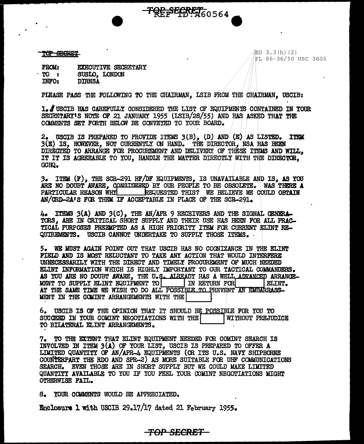TOP SEGRIFT

EO 3.3(h)(2) PL 86-36/50 USC 3605

**FROM:** EXECUTIVE SECRETARY  $TO:$ SUSLO, LONDON **INFO: DIRNSA** 

PIEASE PASS THE FOLLOWING TO THE CHAIRMAN, LSIB FROM THE CHAIRMAN, USCIB:

**TOP SEGRET** 60564

1. FUSCIB HAS CAREFULLY CONSIDERED THE LIST OF EQUIPMENTS CONTAINED IN YOUR SECRETARY'S NOTE OF 21 JANUARY 1955 (ISIB/28/55) AND HAS ASKED THAT THE COMMENTS SET FORTH BELOW BE CONVEYED TO YOUR BOARD.

2. USCIB IS PREPARED TO PROVIDE ITEMS  $3(B)$ , (D) AND  $(E)$  AS LISTED. **TTEM** 3(E) IS, HOWEVER, NOT CURRENTLY ON HAND. THE DIRECTOR, NSA HAS BEEN DIRECTED TO ARRANGE FOR PROCUREMENT AND DELIVERY OF THESE ITEMS AND WILL. IT IT IS AGREEABLE TO YOU, HANDLE THE MATTER DIRECTLY WITH THE DIRECTOR, GCHQ.

3. ITEM (F). THE SCR-291 HF/DF EQUIPMENTS. IS UNAVAILABLE AND IS. AS YOU ARE NO DOUBT AWARE, CONSIDERED BY OUR PEOPLE TO BE OBSOLETE. WAS THERE A PARTICULAR REASON WHY REQUESTED THIS? WE BELIEVE WE COULD OBTAIN AN/CRD-2A'S FOR THEM IF ACCEPTABLE IN PLACE OF THE SCR-291.

4. ITEMS 3(A) AND 3(C), THE AN/APR 9 RECEIVERS AND THE SIGNAL GENERA-TORS. ARE IN CRITICAL SHORT SUPPLY AND THEIR USE HAS BEEN FOR ALL PRAC-TICAL PURPOSES PREEMPTED AS A HIGH PRIORITY ITEM FOR CURRENT ELINT RE-QUIREMENTS. USCIB CANNOT UNDERTAKE TO SUPPLY THOSE ITEMS.

5. WE MUST AGAIN POINT OUT THAT USCIB HAS NO COGNIZANCE IN THE ELINT FIELD AND IS MOST RELUCTANT TO TAKE ANY ACTION THAT WOULD INTERFERE UNNECESSARILY WITH THE DIRECT AND TIMELY PROCUREMENT OF MUCH NEEDED ELINT INFORMATION WHICH IS HIGHLY IMPORTANT TO OUR TACTICAL COMMANDERS. AS YOU ARE NO DOUBT AWARE, THE U.S. ALREADY HAS A WELL ADVANCED ARRANGE-MENT TO SUPPLY ELINT EQUIPMENT TO IN RETURN FOR ELINT. AT THE SAME TIME WE WISH TO DO ALL POSSIBLE TO PREVENT AN EMBARRASS-MENT IN THE COMINT ARRANGEMENTS WITH THE

6. USCIB IS OF THE OPINION THAT IT SHOULD BE POSSIBLE FOR YOU TO SUCCEED IN YOUR COMINT NEGOTIATIONS WITH THE WITHOUT PREJUDICE TO BILATERAL ELINT ARRANGEMENTS.

7. TO THE EXTENT THAT ELINT EQUIPMENT NEEDED FOR COMINT SEARCH IS INVOLVED IN ITEM 3(A) OF YOUR LIST, USCIB IS PREPARED TO OFFER A LIMITED QUANTITY OF AN/APR-4 EQUIPMENTS (OR ITS U.S. NAVY SHIPBORNE COUNTERPART THE RDO AND SPR-2) AS MORE SUITABLE FOR UHF COMMUNICATIONS SEARCH. EVEN THOSE ARE IN SHORT SUPPLY BUT WE COULD MAKE LIMITED QUANTITY AVAILABLE TO YOU IF YOU FEEL YOUR COMINT NEGOTIATIONS MIGHT **OTHERWISE FAIL.** 

-TOP SECRET

8. YOUR COMMENTS WOULD BE APPRECIATED.

Enclosure 1 with USCIB 29.17/17 dated 21 February 1955.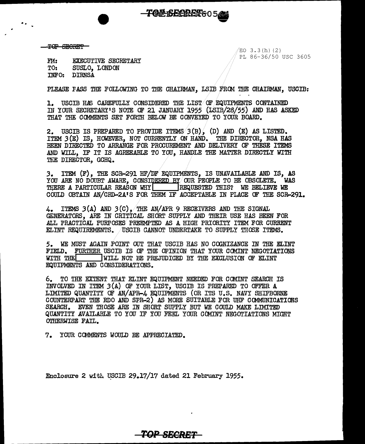$\overline{C}$  separation is the set of the set of the set of the set of the set of the set of the set of the set of the set of the set of the set of the set of the set of the set of the set of the set of the set of the set of

..

PL 86-36/50 USC 3605

FM: EXECUTIVE SECRETARY<br>TO: SUSLO. LONDON SUSLO. LONDON INFO: DIRNSA

PLEASE FASS THE FOLLOWING TO THE CHAIRMAN, LSIB FRGI THE CHAIRMAN, USCIB;

**TOP BECRET**6050

1. USCIB HAS CAREFULLY CONSIDERED THE LIST OF EQUIPMENTS CONTAINED IN YOUR SECRETARY'S NOTE OF 21 JANUARY 1955 (LSIB/28/55) AND HAS ASKED THAT THE CG1MENTS SET FORTH BELOW BE CONVElED/ TO YOUR BOARD.

2. USCIB IS PREPARED TO PROVIDE ITEMS 3(B). (D) AND (E) AS LISTED. ITEM  $3(E)$  IS, HOWEVER, NOT CURRENTLY ON HAND. THE DIRECTOR, NSA HAS BEEN DIRECTED TO ARRANGE FOR PROCUREMENT AND DELIVERY OF THESE ITEMS AND WILL, IF IT IS AGREEABLE TO YOU, HANDLE THE MATTER DIRECTLY WITH THE DIRECTOR. GCHQ.

3. ITEM (F), THE SCR-291 HF/DF EQUIPMENTS, IS UNAVAILABLE AND IS, AS YOU ARE NO DOUBT AWARE, CONSIDERED BY OUR PEOPLE TO BE OBSOLETE. WAS THERE A PARTICULAR REASON WHY REQUESTED THIS? WE BELIEVE WE COULD OBTAIN AN/CRD-2A1S FOR THEM IF ACCEPTABLE IN PLACE OF THE SCR-291.

ITEMS  $3(A)$  AND  $3(C)$ , THE AN/APR 9 RECEIVERS AND THE SIGNAL GENERATORS, ARE IN CRITICAL SHORT SUPPLY AND THEIR USE HAS BEEN FOR ALL PRACTICAL PURPOSES PREEMPTED AS A HIGH PRIORITY ITEM FOR CURRENT ELINT REQUIREMENTS. /USCIB CANNOT UNDERTAKE TO SUPPLY THOSE ITEMS.

*5.* WE MUST AGAIN .POINT OUT THAT USCIB HAS NO COONIZANCE IN THE ELINT FIELD. FURTHER USCIB IS OF THE OPINION THAT YOUR COMINT NEGOTIATIONS WITH THE WILL NOT BE PREJUDICED BY THE EXCLUSION OF ELINT EQUIPMENTS AND CONSIDERATIONS.

6. TO THE EXTENT THAT ELINT EQUIPMENT NEEDED FOR COMINT SEARCH IS INVOLVED IN ITEM  $3(A)$  OF YOUR LIST, USCIB IS PREPARED TO OFFER  $A$ LIMITED QUANTITY OF AN/ APR-4 EQUIPMENTS (OR ITS U. s. NAVY SHIPBORNE COUNTERPART THE RDO AND SPR-2) AS MORE SUITABLE FOR UHF COMMUNICATIONS SEARCH. EVEN THOSE ARE IN SHORT SUPPLY BUT WE COULD MAKE LIMITED QUANTITY AVAILABLE TO YOU IF YOU FEEL YOUR CCMIN'T NEGOTIATIONS MIGHT OTHERWISE FAIL.

*TOP BBCBE:T* 

7. YOUR CCMMENTS WOULD BE APPRECIATED.

Enclosure 2 with USCIB 29.17/17 dated 21 February 1955.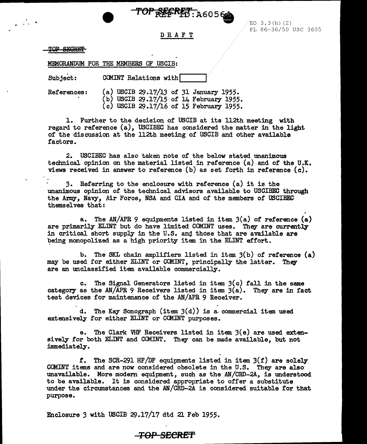TOP REFRET: A6056

 $EO$  3.3(h)(2) PL 86-36/50 USC 3605

DRAFT

TOP SEGRET

MEMORANDUM FOR THE MEMBERS OF USCIB:

Subject: COMINT Relations with

References: (a) USCIB 29.17/13 of 31 January 1955. (b) USCIB 29.17/15 of 14 February 1955.  $(c)$  USCIB 29.17/16 of 15 February 1955.

1. Further to the decision of USCIB at its 112th meeting with regard to reference (a), USCIBEC has considered the matter in the light of the discussion at the 112th meeting of USCIB and other available factors.

2. USCIBEC has also taken note of the below stated unanimous technical opinion on the material listed in reference (a) and of the U.K. views received in answer to reference (b) as set forth in reference (c).

*3.* Referring to the enclosure with reference (a) it is the unanimous opinion of the technical advisors available to USCIBEC through the Army, Navy, Air Force, NSA and CIA and of the members of USCIBEC themselves that:

a. The AN/APR 9 equipments listed in item 3(a) of reference (a) are primarily ELINT but do have limited COMINT uses. They are currently in critical short supply in the U.S. and those that are available are being monopolized as a high priority item in the ELINT effort.

b. The SKL chain amplifiers listed in item 3(b) of reference (a) may be used for either ELINT or COMINT, principally the latter. They are an unclassified item available commercially.

c. The Signal Generators listed in item  $3(c)$  fall in the same category as the AN/APR 9 Receivers listed in item  $3(a)$ . They are in fact test devices for maintenance of the AN/APR 9 Receiver.

d. The Kay Sonograph (item  $3(d)$ ) is a commercial item used extensively for either ELINT or COMINT purposes.

e. The Clark VHF Receivers listed in item  $3(e)$  are used extensively for both ELINT and COMINT. They can be made available, but not immediately.

f. The SCR-291 HF/DF equipments listed in item  $3(f)$  are solely COMINT items and are now considered obsolete in the U.S. They are also unavailable. More modern equipment, such as the AN/CRD-2A, is understood to be available. It is considered appropriate to offer a substitute under the circumstances and the AN/CRD-2A is considered suitable for that purpose.

Enclosure 3 with USCIB 29.17/17 dtd 21 Feb 1955.

## **TOP SECRET**